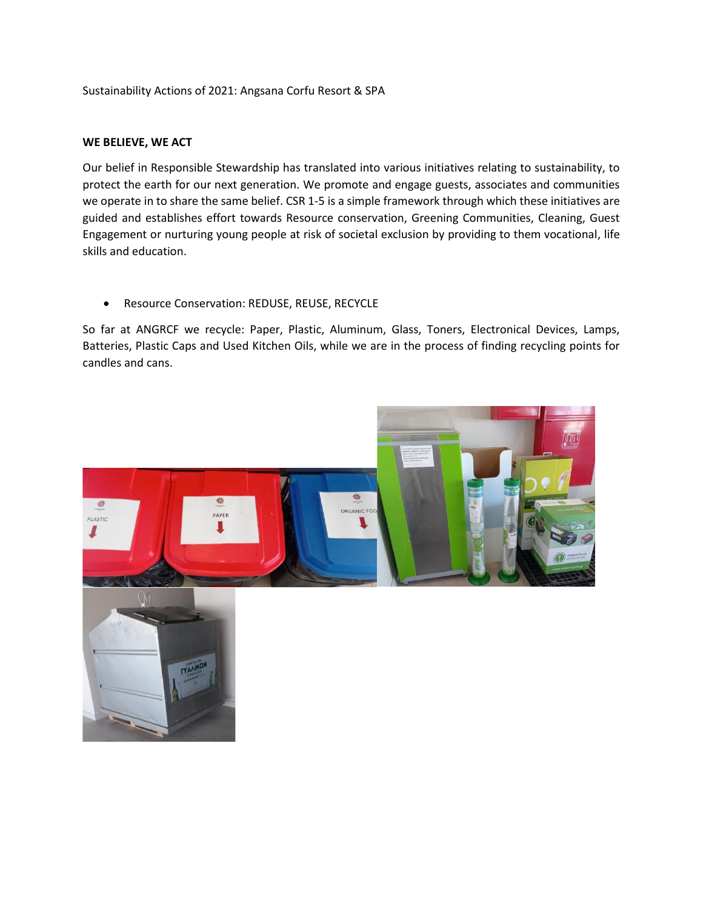Sustainability Actions of 2021: Angsana Corfu Resort & SPA

## **WE BELIEVE, WE ACT**

Our belief in Responsible Stewardship has translated into various initiatives relating to sustainability, to protect the earth for our next generation. We promote and engage guests, associates and communities we operate in to share the same belief. CSR 1-5 is a simple framework through which these initiatives are guided and establishes effort towards Resource conservation, Greening Communities, Cleaning, Guest Engagement or nurturing young people at risk of societal exclusion by providing to them vocational, life skills and education.

• Resource Conservation: REDUSE, REUSE, RECYCLE

So far at ANGRCF we recycle: Paper, Plastic, Aluminum, Glass, Toners, Electronical Devices, Lamps, Batteries, Plastic Caps and Used Kitchen Oils, while we are in the process of finding recycling points for candles and cans.

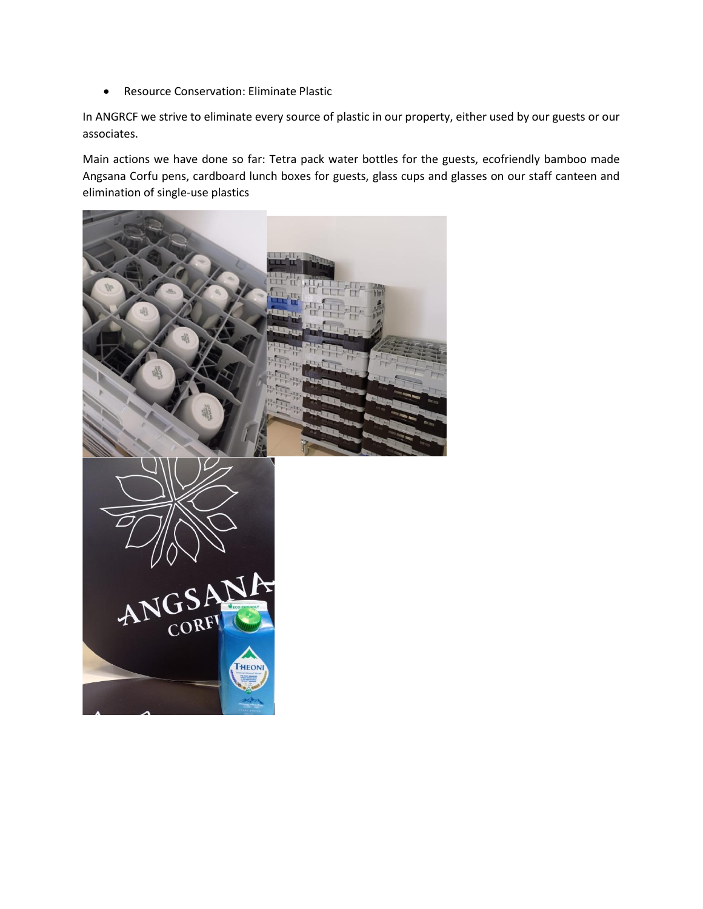• Resource Conservation: Eliminate Plastic

In ANGRCF we strive to eliminate every source of plastic in our property, either used by our guests or our associates.

Main actions we have done so far: Tetra pack water bottles for the guests, ecofriendly bamboo made Angsana Corfu pens, cardboard lunch boxes for guests, glass cups and glasses on our staff canteen and elimination of single-use plastics

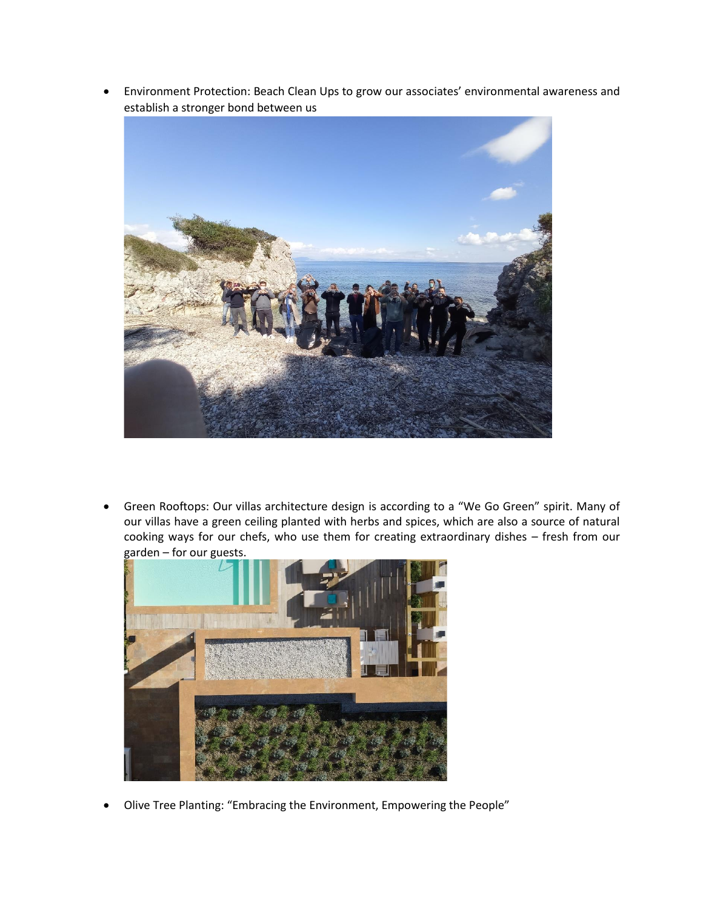• Environment Protection: Beach Clean Ups to grow our associates' environmental awareness and establish a stronger bond between us



• Green Rooftops: Our villas architecture design is according to a "We Go Green" spirit. Many of our villas have a green ceiling planted with herbs and spices, which are also a source of natural cooking ways for our chefs, who use them for creating extraordinary dishes – fresh from our garden – for our guests.



• Olive Tree Planting: "Embracing the Environment, Empowering the People"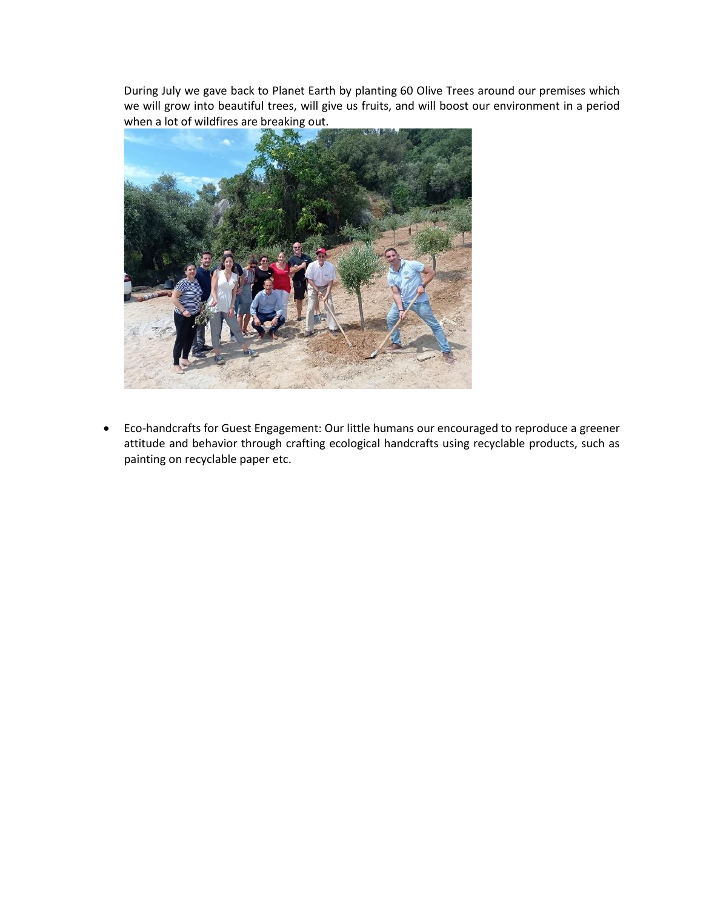During July we gave back to Planet Earth by planting 60 Olive Trees around our premises which we will grow into beautiful trees, will give us fruits, and will boost our environment in a period when a lot of wildfires are breaking out.



• Eco-handcrafts for Guest Engagement: Our little humans our encouraged to reproduce a greener attitude and behavior through crafting ecological handcrafts using recyclable products, such as painting on recyclable paper etc.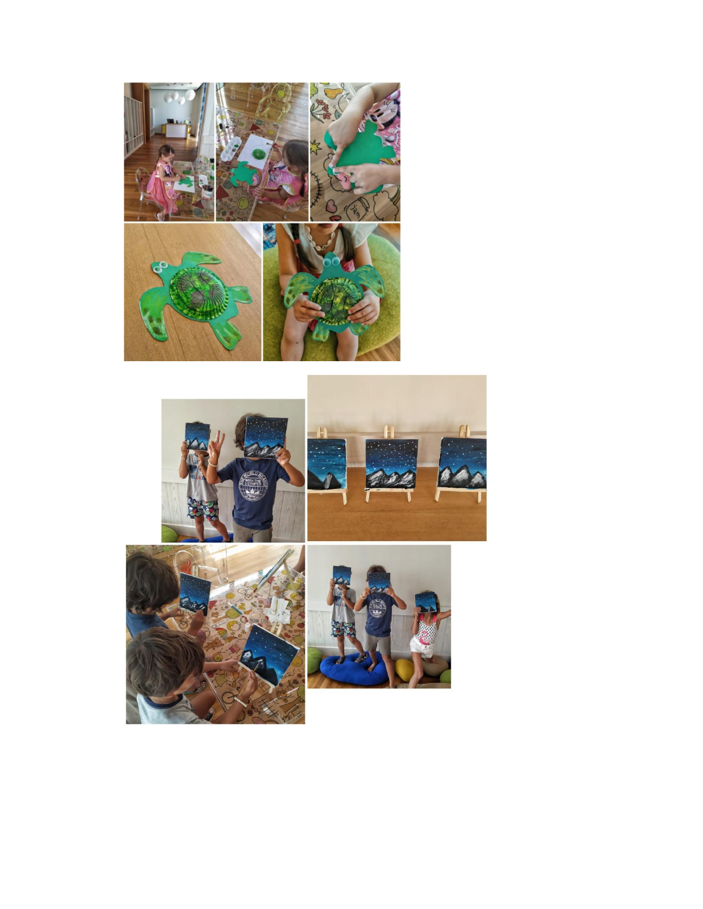